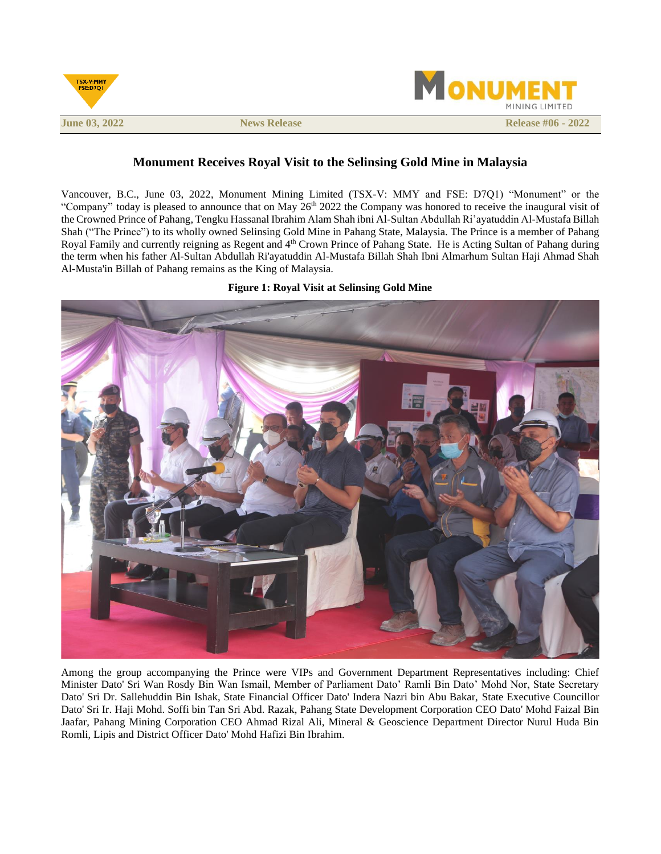

# **Monument Receives Royal Visit to the Selinsing Gold Mine in Malaysia**

Vancouver, B.C., June 03, 2022, Monument Mining Limited (TSX-V: MMY and FSE: D7Q1) "Monument" or the "Company" today is pleased to announce that on May  $26<sup>th</sup> 2022$  the Company was honored to receive the inaugural visit of the Crowned Prince of Pahang, Tengku Hassanal Ibrahim Alam Shah ibni Al-Sultan Abdullah Ri'ayatuddin Al-Mustafa Billah Shah ("The Prince") to its wholly owned Selinsing Gold Mine in Pahang State, Malaysia. The Prince is a member of Pahang Royal Family and currently reigning as Regent and 4<sup>th</sup> Crown Prince of Pahang State. He is Acting Sultan of Pahang during the term when his father Al-Sultan Abdullah Ri'ayatuddin Al-Mustafa Billah Shah Ibni Almarhum Sultan Haji Ahmad Shah Al-Musta'in Billah of Pahang remains as the King of Malaysia.

# **Figure 1: Royal Visit at Selinsing Gold Mine**



Among the group accompanying the Prince were VIPs and Government Department Representatives including: Chief Minister Dato' Sri Wan Rosdy Bin Wan Ismail, Member of Parliament Dato' Ramli Bin Dato' Mohd Nor, State Secretary Dato' Sri Dr. Sallehuddin Bin Ishak, State Financial Officer Dato' Indera Nazri bin Abu Bakar, State Executive Councillor Dato' Sri Ir. Haji Mohd. Soffi bin Tan Sri Abd. Razak, Pahang State Development Corporation CEO Dato' Mohd Faizal Bin Jaafar, Pahang Mining Corporation CEO Ahmad Rizal Ali, Mineral & Geoscience Department Director Nurul Huda Bin Romli, Lipis and District Officer Dato' Mohd Hafizi Bin Ibrahim.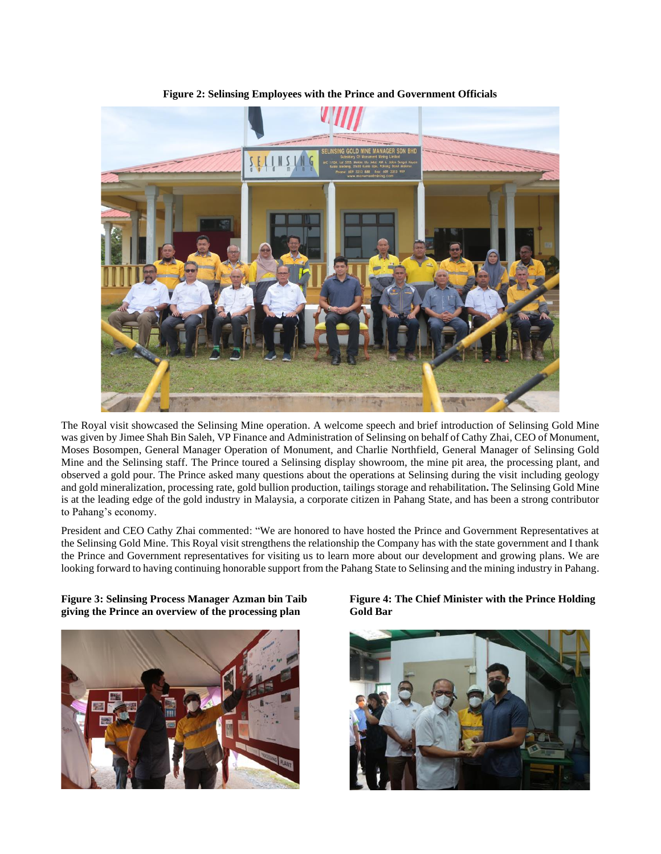

**Figure 2: Selinsing Employees with the Prince and Government Officials**

The Royal visit showcased the Selinsing Mine operation. A welcome speech and brief introduction of Selinsing Gold Mine was given by Jimee Shah Bin Saleh, VP Finance and Administration of Selinsing on behalf of Cathy Zhai, CEO of Monument, Moses Bosompen, General Manager Operation of Monument, and Charlie Northfield, General Manager of Selinsing Gold Mine and the Selinsing staff. The Prince toured a Selinsing display showroom, the mine pit area, the processing plant, and observed a gold pour. The Prince asked many questions about the operations at Selinsing during the visit including geology and gold mineralization, processing rate, gold bullion production, tailings storage and rehabilitation**.** The Selinsing Gold Mine is at the leading edge of the gold industry in Malaysia, a corporate citizen in Pahang State, and has been a strong contributor to Pahang's economy.

President and CEO Cathy Zhai commented: "We are honored to have hosted the Prince and Government Representatives at the Selinsing Gold Mine. This Royal visit strengthens the relationship the Company has with the state government and I thank the Prince and Government representatives for visiting us to learn more about our development and growing plans. We are looking forward to having continuing honorable support from the Pahang State to Selinsing and the mining industry in Pahang.

**Figure 3: Selinsing Process Manager Azman bin Taib giving the Prince an overview of the processing plan**



**Figure 4: The Chief Minister with the Prince Holding Gold Bar**